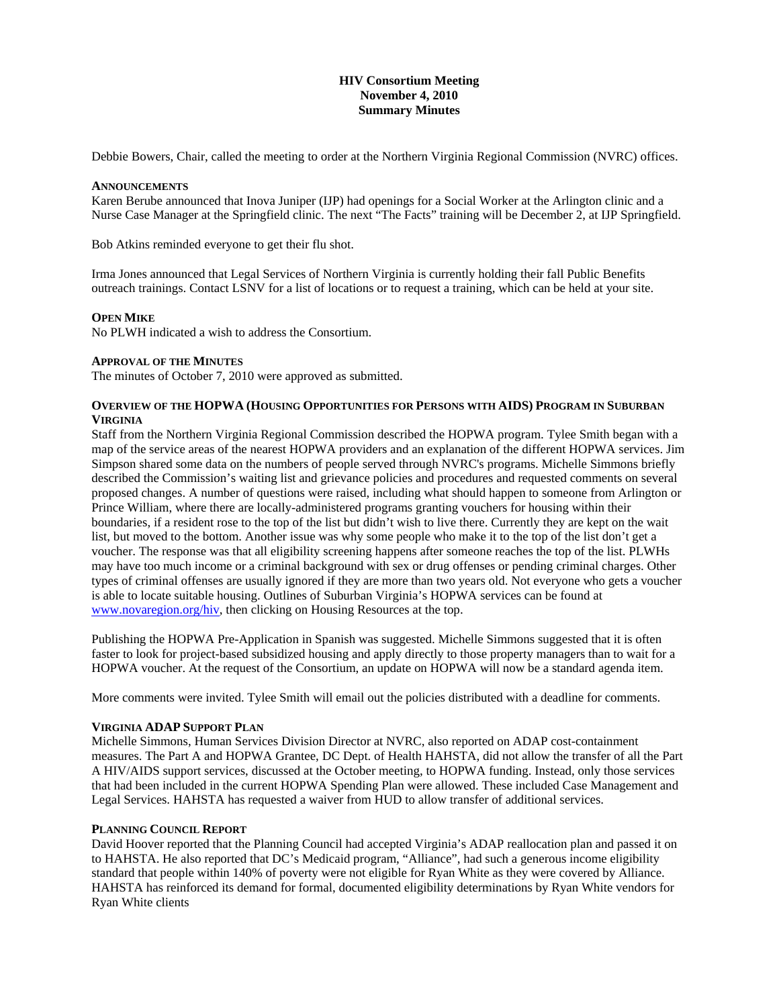## **HIV Consortium Meeting November 4, 2010 Summary Minutes**

Debbie Bowers, Chair, called the meeting to order at the Northern Virginia Regional Commission (NVRC) offices.

### **ANNOUNCEMENTS**

Karen Berube announced that Inova Juniper (IJP) had openings for a Social Worker at the Arlington clinic and a Nurse Case Manager at the Springfield clinic. The next "The Facts" training will be December 2, at IJP Springfield.

Bob Atkins reminded everyone to get their flu shot.

Irma Jones announced that Legal Services of Northern Virginia is currently holding their fall Public Benefits outreach trainings. Contact LSNV for a list of locations or to request a training, which can be held at your site.

## **OPEN MIKE**

No PLWH indicated a wish to address the Consortium.

### **APPROVAL OF THE MINUTES**

The minutes of October 7, 2010 were approved as submitted.

## **OVERVIEW OF THE HOPWA (HOUSING OPPORTUNITIES FOR PERSONS WITH AIDS) PROGRAM IN SUBURBAN VIRGINIA**

Staff from the Northern Virginia Regional Commission described the HOPWA program. Tylee Smith began with a map of the service areas of the nearest HOPWA providers and an explanation of the different HOPWA services. Jim Simpson shared some data on the numbers of people served through NVRC's programs. Michelle Simmons briefly described the Commission's waiting list and grievance policies and procedures and requested comments on several proposed changes. A number of questions were raised, including what should happen to someone from Arlington or Prince William, where there are locally-administered programs granting vouchers for housing within their boundaries, if a resident rose to the top of the list but didn't wish to live there. Currently they are kept on the wait list, but moved to the bottom. Another issue was why some people who make it to the top of the list don't get a voucher. The response was that all eligibility screening happens after someone reaches the top of the list. PLWHs may have too much income or a criminal background with sex or drug offenses or pending criminal charges. Other types of criminal offenses are usually ignored if they are more than two years old. Not everyone who gets a voucher is able to locate suitable housing. Outlines of Suburban Virginia's HOPWA services can be found at [www.novaregion.org/hiv,](http://www.novaregion.org/hiv) then clicking on Housing Resources at the top.

Publishing the HOPWA Pre-Application in Spanish was suggested. Michelle Simmons suggested that it is often faster to look for project-based subsidized housing and apply directly to those property managers than to wait for a HOPWA voucher. At the request of the Consortium, an update on HOPWA will now be a standard agenda item.

More comments were invited. Tylee Smith will email out the policies distributed with a deadline for comments.

# **VIRGINIA ADAP SUPPORT PLAN**

Michelle Simmons, Human Services Division Director at NVRC, also reported on ADAP cost-containment measures. The Part A and HOPWA Grantee, DC Dept. of Health HAHSTA, did not allow the transfer of all the Part A HIV/AIDS support services, discussed at the October meeting, to HOPWA funding. Instead, only those services that had been included in the current HOPWA Spending Plan were allowed. These included Case Management and Legal Services. HAHSTA has requested a waiver from HUD to allow transfer of additional services.

# **PLANNING COUNCIL REPORT**

David Hoover reported that the Planning Council had accepted Virginia's ADAP reallocation plan and passed it on to HAHSTA. He also reported that DC's Medicaid program, "Alliance", had such a generous income eligibility standard that people within 140% of poverty were not eligible for Ryan White as they were covered by Alliance. HAHSTA has reinforced its demand for formal, documented eligibility determinations by Ryan White vendors for Ryan White clients